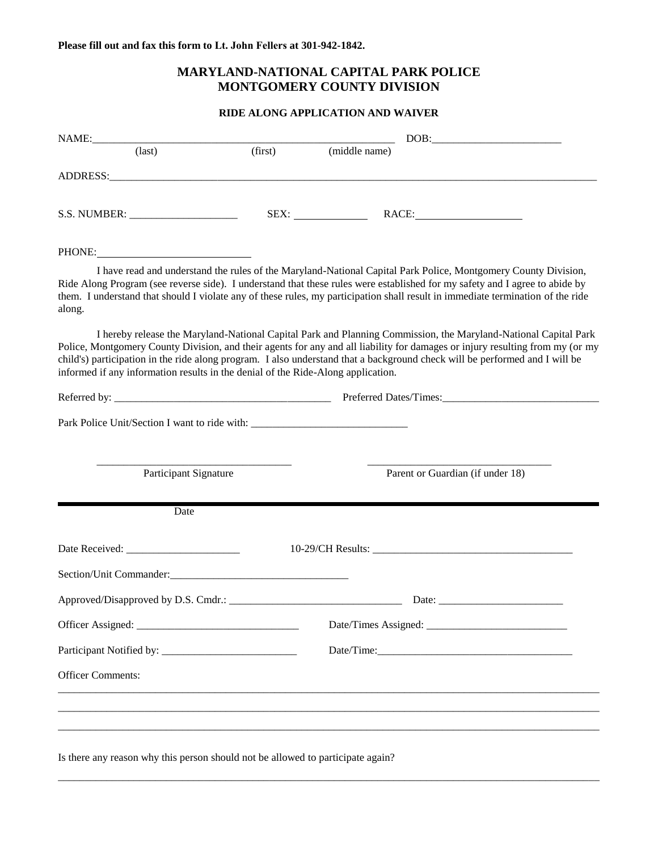## **MARYLAND-NATIONAL CAPITAL PARK POLICE MONTGOMERY COUNTY DIVISION**

## **RIDE ALONG APPLICATION AND WAIVER**

| $\overline{(last)}$                                                              | (first) | (middle name)                                                                                                                                                                                                                                                                                                                                                                    |
|----------------------------------------------------------------------------------|---------|----------------------------------------------------------------------------------------------------------------------------------------------------------------------------------------------------------------------------------------------------------------------------------------------------------------------------------------------------------------------------------|
|                                                                                  |         |                                                                                                                                                                                                                                                                                                                                                                                  |
|                                                                                  |         | SEX: RACE: RACE:                                                                                                                                                                                                                                                                                                                                                                 |
| PHONE: PHONE                                                                     |         |                                                                                                                                                                                                                                                                                                                                                                                  |
| along.                                                                           |         | I have read and understand the rules of the Maryland-National Capital Park Police, Montgomery County Division,<br>Ride Along Program (see reverse side). I understand that these rules were established for my safety and I agree to abide by<br>them. I understand that should I violate any of these rules, my participation shall result in immediate termination of the ride |
| informed if any information results in the denial of the Ride-Along application. |         | I hereby release the Maryland-National Capital Park and Planning Commission, the Maryland-National Capital Park<br>Police, Montgomery County Division, and their agents for any and all liability for damages or injury resulting from my (or my<br>child's) participation in the ride along program. I also understand that a background check will be performed and I will be  |
|                                                                                  |         |                                                                                                                                                                                                                                                                                                                                                                                  |
| Park Police Unit/Section I want to ride with: __________________________________ |         |                                                                                                                                                                                                                                                                                                                                                                                  |
|                                                                                  |         |                                                                                                                                                                                                                                                                                                                                                                                  |
| Participant Signature                                                            |         | Parent or Guardian (if under 18)                                                                                                                                                                                                                                                                                                                                                 |
| Date                                                                             |         |                                                                                                                                                                                                                                                                                                                                                                                  |
|                                                                                  |         |                                                                                                                                                                                                                                                                                                                                                                                  |
|                                                                                  |         |                                                                                                                                                                                                                                                                                                                                                                                  |
|                                                                                  |         |                                                                                                                                                                                                                                                                                                                                                                                  |
|                                                                                  |         | Date/Times Assigned:                                                                                                                                                                                                                                                                                                                                                             |
|                                                                                  |         |                                                                                                                                                                                                                                                                                                                                                                                  |
|                                                                                  |         |                                                                                                                                                                                                                                                                                                                                                                                  |
| <b>Officer Comments:</b>                                                         |         |                                                                                                                                                                                                                                                                                                                                                                                  |
|                                                                                  |         |                                                                                                                                                                                                                                                                                                                                                                                  |
|                                                                                  |         |                                                                                                                                                                                                                                                                                                                                                                                  |
| Is there any reason why this person should not be allowed to participate again?  |         |                                                                                                                                                                                                                                                                                                                                                                                  |

\_\_\_\_\_\_\_\_\_\_\_\_\_\_\_\_\_\_\_\_\_\_\_\_\_\_\_\_\_\_\_\_\_\_\_\_\_\_\_\_\_\_\_\_\_\_\_\_\_\_\_\_\_\_\_\_\_\_\_\_\_\_\_\_\_\_\_\_\_\_\_\_\_\_\_\_\_\_\_\_\_\_\_\_\_\_\_\_\_\_\_\_\_\_\_\_\_\_\_\_